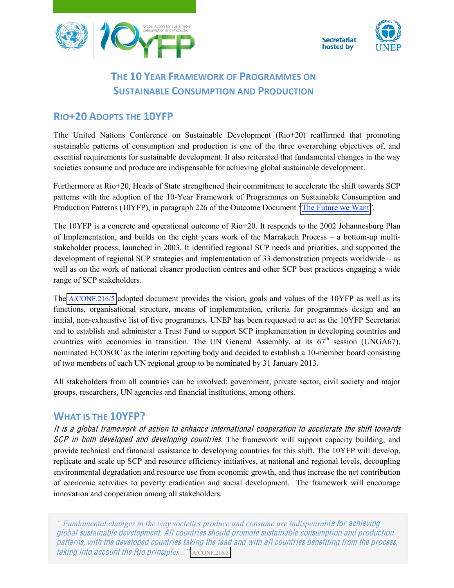



# **THE 10 YEAR FRAMEWORK OF PROGRAMMES ON SUSTAINABLE CONSUMPTION AND PRODUCTION**

## **RIO+20 ADOPTS THE 10YFP**

Tthe United Nations Conference on Sustainable Development (Rio+20) reaffirmed that promoting sustainable patterns of consumption and production is one of the three overarching objectives of, and essential requirements for sustainable development. It also reiterated that fundamental changes in the way societies consume and produce are indispensable for achieving global sustainable development.

Furthermore at Rio+20, Heads of State strengthened their commitment to accelerate the shift towards SCP patterns with the adoption of the 10-Year Framework of Programmes on Sustainable Consumption and Production Patterns (10YFP), in paragraph 226 of the Outcome Document "[The Future we Want](http://www.un.org/ga/search/view_doc.asp?symbol=A/RES/66/288&Lang=E)".

The 10YFP is a concrete and operational outcome of Rio+20. It responds to the 2002 Johannesburg Plan of Implementation, and builds on the eight years work of the Marrakech Process – a bottom-up multistakeholder process, launched in 2003. It identified regional SCP needs and priorities, and supported the development of regional SCP strategies and implementation of 33 demonstration projects worldwide – as well as on the work of national cleaner production centres and other SCP best practices engaging a wide range of SCP stakeholders.

The [A/CONF.216/5](https://rio20.un.org/sites/rio20.un.org/files/a-conf.216-5_english.pdf) adopted document provides the vision, goals and values of the 10YFP as well as its functions, organisational structure, means of implementation, criteria for programmes design and an initial, non-exhaustive list of five programmes. UNEP has been requested to act as the 10YFP Secretariat and to establish and administer a Trust Fund to support SCP implementation in developing countries and countries with economies in transition. The UN General Assembly, at its 67<sup>th</sup> session (UNGA67), nominated ECOSOC as the interim reporting body and decided to establish a 10-member board consisting of two members of each UN regional group to be nominated by 31 January 2013.

All stakeholders from all countries can be involved: government, private sector, civil society and major groups, researchers, UN agencies and financial institutions, among others.

### **WHAT IS THE 10YFP?**

It i<sup>s</sup> <sup>a</sup> global framework <sup>o</sup>f <sup>a</sup>ction t<sup>o</sup> <sup>e</sup>nhance international <sup>c</sup>ooperation t<sup>o</sup> <sup>a</sup>ccelerat<sup>e</sup> th<sup>e</sup> <sup>s</sup>hift toward<sup>s</sup> SCP in both developed and developing countries. The framework will support capacity building, and provide technical and financial assistance to developing countries for this shift. The 10YFP will develop, replicate and scale up SCP and resource efficiency initiatives, at national and regional levels, decoupling environmental degradation and resource use from economic growth, and thus increase the net contribution of economic activities to poverty eradication and social development. The framework will encourage innovation and cooperation among all stakeholders.

*" Fundamental changes in the way societies produce and consume are indispensabl*<sup>e</sup> for <sup>a</sup>chieving global <sup>s</sup>ustainabl<sup>e</sup> dev<sup>e</sup>lopment. All <sup>c</sup>ountrie<sup>s</sup> <sup>s</sup>hould promot<sup>e</sup> <sup>s</sup>ustainabl<sup>e</sup> <sup>c</sup>onsumption and production patterns, with th<sup>e</sup> dev<sup>e</sup>loped <sup>c</sup>ountrie<sup>s</sup> taking th<sup>e</sup> lead and with all <sup>c</sup>ountrie<sup>s</sup> benefiting fro<sup>m</sup> th<sup>e</sup> process, <sup>t</sup>aking int<sup>o</sup> <sup>a</sup>ccoun<sup>t</sup> <sup>t</sup>h<sup>e</sup> Rio princ*iples..."* [A/CONF.216/5](https://rio20.un.org/sites/rio20.un.org/files/a-conf.216-5_english.pdf)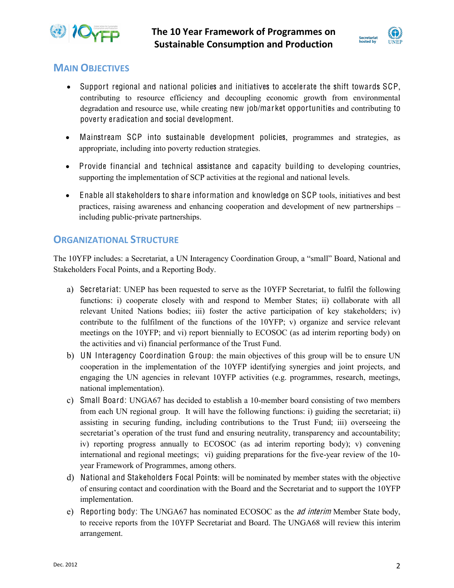



### **MAIN OBJECTIVES**

- Support regional and national policies and initiatives to accelerate the shift towards SCP, contributing to resource efficiency and decoupling economic growth from environmental degradation and resource use, while creating new job/mar ket opportunities and contributing to poverty eradication and social development.
- Mainstream SCP into sustainable development policies, programmes and strategies, as appropriate, including into poverty reduction strategies.
- Provide financial and technical assistance and capacity building to developing countries, supporting the implementation of SCP activities at the regional and national levels.
- Enable all stakeholders to share information and knowledge on SCP tools, initiatives and best practices, raising awareness and enhancing cooperation and development of new partnerships – including public-private partnerships.

# **ORGANIZATIONAL STRUCTURE**

The 10YFP includes: a Secretariat, a UN Interagency Coordination Group, a "small" Board, National and Stakeholders Focal Points, and a Reporting Body.

- a) Secretariat: UNEP has been requested to serve as the 10YFP Secretariat, to fulfil the following functions: i) cooperate closely with and respond to Member States; ii) collaborate with all relevant United Nations bodies; iii) foster the active participation of key stakeholders; iv) contribute to the fulfilment of the functions of the 10YFP; v) organize and service relevant meetings on the 10YFP; and vi) report biennially to ECOSOC (as ad interim reporting body) on the activities and vi) financial performance of the Trust Fund.
- b) UN Interagency Coordination Group: the main objectives of this group will be to ensure UN cooperation in the implementation of the 10YFP identifying synergies and joint projects, and engaging the UN agencies in relevant 10YFP activities (e.g. programmes, research, meetings, national implementation).
- c) Small Board: UNGA67 has decided to establish a 10-member board consisting of two members from each UN regional group. It will have the following functions: i) guiding the secretariat; ii) assisting in securing funding, including contributions to the Trust Fund; iii) overseeing the secretariat's operation of the trust fund and ensuring neutrality, transparency and accountability; iv) reporting progress annually to ECOSOC (as ad interim reporting body); v) convening international and regional meetings; vi) guiding preparations for the five-year review of the 10 year Framework of Programmes, among others.
- d) National and Stakeholders Focal Points: will be nominated by member states with the objective of ensuring contact and coordination with the Board and the Secretariat and to support the 10YFP implementation.
- e) Reporting body: The UNGA67 has nominated ECOSOC as the *ad interim* Member State body, to receive reports from the 10YFP Secretariat and Board. The UNGA68 will review this interim arrangement.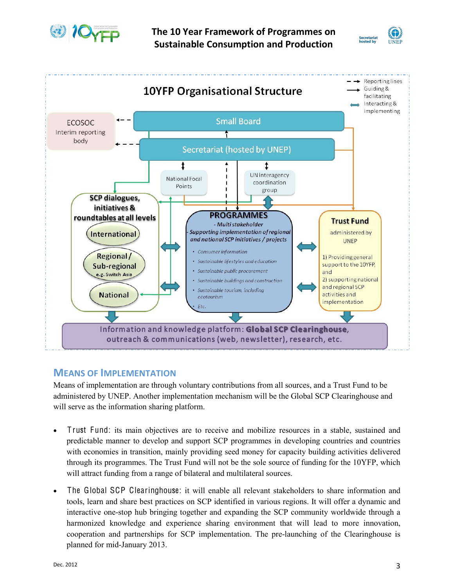

**The 10 Year Framework of Programmes on Sustainable Consumption and Production**





### **MEANS OF IMPLEMENTATION**

Means of implementation are through voluntary contributions from all sources, and a Trust Fund to be administered by UNEP. Another implementation mechanism will be the Global SCP Clearinghouse and will serve as the information sharing platform.

- T rust Fund: its main objectives are to receive and mobilize resources in a stable, sustained and predictable manner to develop and support SCP programmes in developing countries and countries with economies in transition, mainly providing seed money for capacity building activities delivered through its programmes. The Trust Fund will not be the sole source of funding for the 10YFP, which will attract funding from a range of bilateral and multilateral sources.
- The Global SCP Clearinghouse: it will enable all relevant stakeholders to share information and tools, learn and share best practices on SCP identified in various regions. It will offer a dynamic and interactive one-stop hub bringing together and expanding the SCP community worldwide through a harmonized knowledge and experience sharing environment that will lead to more innovation, cooperation and partnerships for SCP implementation. The pre-launching of the Clearinghouse is planned for mid-January 2013.